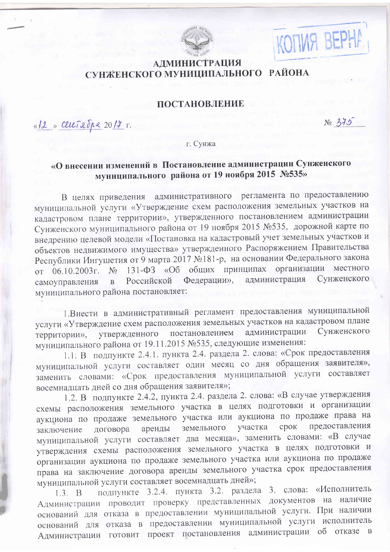

## **АДМИНИСТРАЦИЯ** СУНЖЕНСКОГО МУНИЦИПАЛЬНОГО РАЙОНА

## ПОСТАНОВЛЕНИЕ

«12 » Cereix du 2017 r.

 $N_0$  375

KOMMA BEPHA

г. Сунжа

## «О внесении изменений в Постановление администрации Сунженского муниципального района от 19 ноября 2015 №535»

административного регламента по предоставлению В целях приведения муниципальной услуги «Утверждение схем расположения земельных участков на кадастровом плане территории», утвержденного постановлением администрации Сунженского муниципального района от 19 ноября 2015 №535, дорожной карте по внедрению целевой модели «Постановка на кадастровый учет земельных участков и объектов недвижимого имущества» утвержденного Распоряжением Правительства Республики Ингушетия от 9 марта 2017 №181-р, на основании Федерального закона 131-ФЗ «Об общих принципах организации местного от 06.10.2003 г.  $N_2$ Федерации», администрация Сунженского Российской  $\mathbf{B}$ самоуправления муниципального района постановляет:

1. Внести в административный регламент предоставления муниципальной услуги «Утверждение схем расположения земельных участков на кадастровом плане Сунженского постановлением утвержденного администрации территории», муниципального района от 19.11.2015 №535, следующие изменения:

1.1. В подпункте 2.4.1. пункта 2.4. раздела 2. слова: «Срок предоставления муниципальной услуги составляет один месяц со дня обращения заявителя», заменить словами: «Срок предоставления муниципальной услуги составляет восемнадцать дней со дня обращения заявителя»;

1.2. В подпункте 2.4.2, пункта 2.4. раздела 2. слова: «В случае утверждения схемы расположения земельного участка в целях подготовки и организации аукциона по продаже земельного участка или аукциона по продаже права на срок предоставления участка земельного аренды договора заключение муниципальной услуги составляет два месяца», заменить словами: «В случае утверждения схемы расположения земельного участка в целях подготовки и организации аукциона по продаже земельного участка или аукциона по продаже права на заключение договора аренды земельного участка срок предоставления муниципальной услуги составляет восемнадцать дней»;

подпункте 3.2.4. пункта 3.2. раздела 3. слова: «Исполнитель  $1.3. B$ Администрации проводит проверку представленных документов на наличие оснований для отказа в предоставлении муниципальной услуги. При наличии оснований для отказа в предоставлении муниципальной услуги исполнитель Администрации готовит проект постановления администрации об отказе в